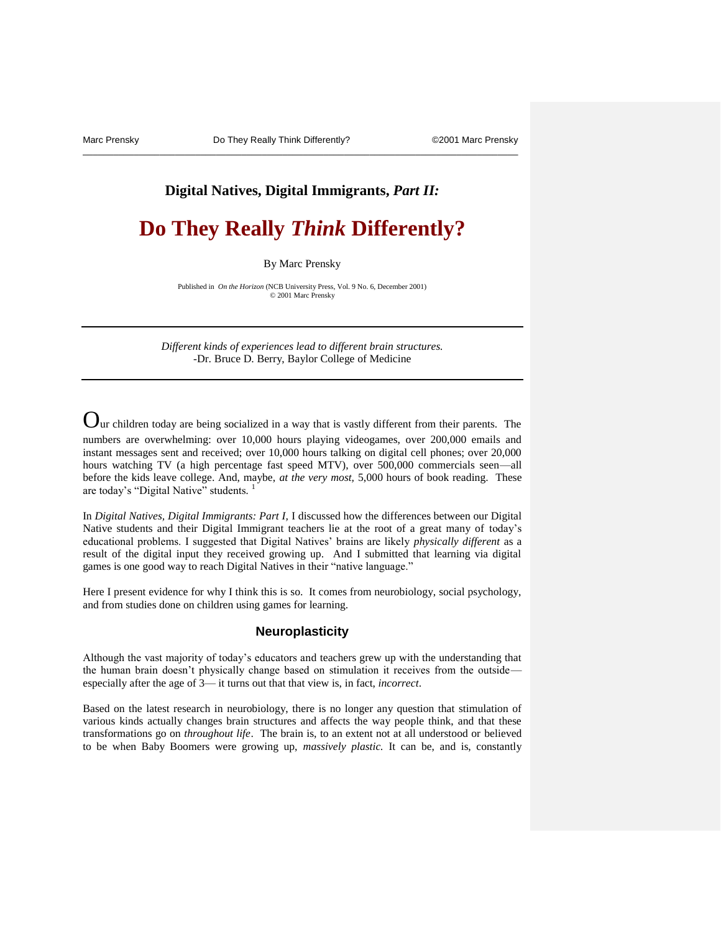## **Digital Natives, Digital Immigrants,** *Part II:*

\_\_\_\_\_\_\_\_\_\_\_\_\_\_\_\_\_\_\_\_\_\_\_\_\_\_\_\_\_\_\_\_\_\_\_\_\_\_\_\_\_\_\_\_\_\_\_\_\_\_\_\_\_\_\_\_\_\_\_\_\_\_\_\_\_\_\_\_\_\_\_\_\_\_\_\_\_\_\_\_\_\_\_\_\_

# **Do They Really** *Think* **Differently?**

#### By Marc Prensky

Published in *On the Horizon* (NCB University Press, Vol. 9 No. 6, December 2001) © 2001 Marc Prensky

*Different kinds of experiences lead to different brain structures.* -Dr. Bruce D. Berry, Baylor College of Medicine

Our children today are being socialized in a way that is vastly different from their parents. The numbers are overwhelming: over 10,000 hours playing videogames, over 200,000 emails and instant messages sent and received; over 10,000 hours talking on digital cell phones; over 20,000 hours watching TV (a high percentage fast speed MTV), over 500,000 commercials seen—all before the kids leave college. And, maybe, *at the very most,* 5,000 hours of book reading.These are today's "Digital Native" students. 1

In *Digital Natives, Digital Immigrants: Part I,* I discussed how the differences between our Digital Native students and their Digital Immigrant teachers lie at the root of a great many of today's educational problems. I suggested that Digital Natives' brains are likely *physically different* as a result of the digital input they received growing up. And I submitted that learning via digital games is one good way to reach Digital Natives in their "native language."

Here I present evidence for why I think this is so. It comes from neurobiology, social psychology, and from studies done on children using games for learning.

#### **Neuroplasticity**

Although the vast majority of today's educators and teachers grew up with the understanding that the human brain doesn't physically change based on stimulation it receives from the outside especially after the age of 3— it turns out that that view is, in fact, *incorrect*.

Based on the latest research in neurobiology, there is no longer any question that stimulation of various kinds actually changes brain structures and affects the way people think, and that these transformations go on *throughout life*. The brain is, to an extent not at all understood or believed to be when Baby Boomers were growing up, *massively plastic.* It can be, and is, constantly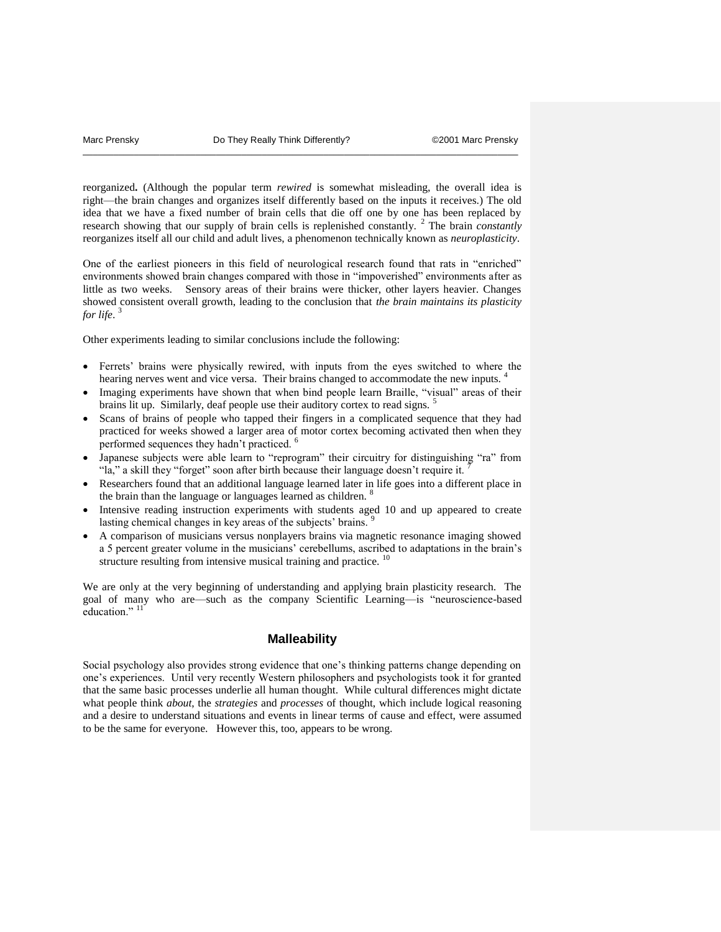reorganized**.** (Although the popular term *rewired* is somewhat misleading, the overall idea is right—the brain changes and organizes itself differently based on the inputs it receives.) The old idea that we have a fixed number of brain cells that die off one by one has been replaced by research showing that our supply of brain cells is replenished constantly. <sup>2</sup> The brain *constantly* reorganizes itself all our child and adult lives, a phenomenon technically known as *neuroplasticity*.

\_\_\_\_\_\_\_\_\_\_\_\_\_\_\_\_\_\_\_\_\_\_\_\_\_\_\_\_\_\_\_\_\_\_\_\_\_\_\_\_\_\_\_\_\_\_\_\_\_\_\_\_\_\_\_\_\_\_\_\_\_\_\_\_\_\_\_\_\_\_\_\_\_\_\_\_\_\_\_\_\_\_\_\_\_

One of the earliest pioneers in this field of neurological research found that rats in "enriched" environments showed brain changes compared with those in "impoverished" environments after as little as two weeks. Sensory areas of their brains were thicker, other layers heavier. Changes showed consistent overall growth, leading to the conclusion that *the brain maintains its plasticity for life*. 3

Other experiments leading to similar conclusions include the following:

- Ferrets' brains were physically rewired, with inputs from the eyes switched to where the hearing nerves went and vice versa. Their brains changed to accommodate the new inputs.<sup>4</sup>
- Imaging experiments have shown that when bind people learn Braille, "visual" areas of their brains lit up. Similarly, deaf people use their auditory cortex to read signs.<sup>5</sup>
- Scans of brains of people who tapped their fingers in a complicated sequence that they had practiced for weeks showed a larger area of motor cortex becoming activated then when they performed sequences they hadn't practiced.
- Japanese subjects were able learn to "reprogram" their circuitry for distinguishing "ra" from "la," a skill they "forget" soon after birth because their language doesn't require it.
- Researchers found that an additional language learned later in life goes into a different place in the brain than the language or languages learned as children. <sup>8</sup>
- Intensive reading instruction experiments with students aged 10 and up appeared to create lasting chemical changes in key areas of the subjects' brains.
- A comparison of musicians versus nonplayers brains via magnetic resonance imaging showed a 5 percent greater volume in the musicians' cerebellums, ascribed to adaptations in the brain's structure resulting from intensive musical training and practice.

We are only at the very beginning of understanding and applying brain plasticity research. The goal of many who are—such as the company Scientific Learning—is "neuroscience-based education."<sup>11</sup>

#### **Malleability**

Social psychology also provides strong evidence that one's thinking patterns change depending on one's experiences. Until very recently Western philosophers and psychologists took it for granted that the same basic processes underlie all human thought. While cultural differences might dictate what people think *about*, the *strategies* and *processes* of thought, which include logical reasoning and a desire to understand situations and events in linear terms of cause and effect, were assumed to be the same for everyone. However this, too, appears to be wrong.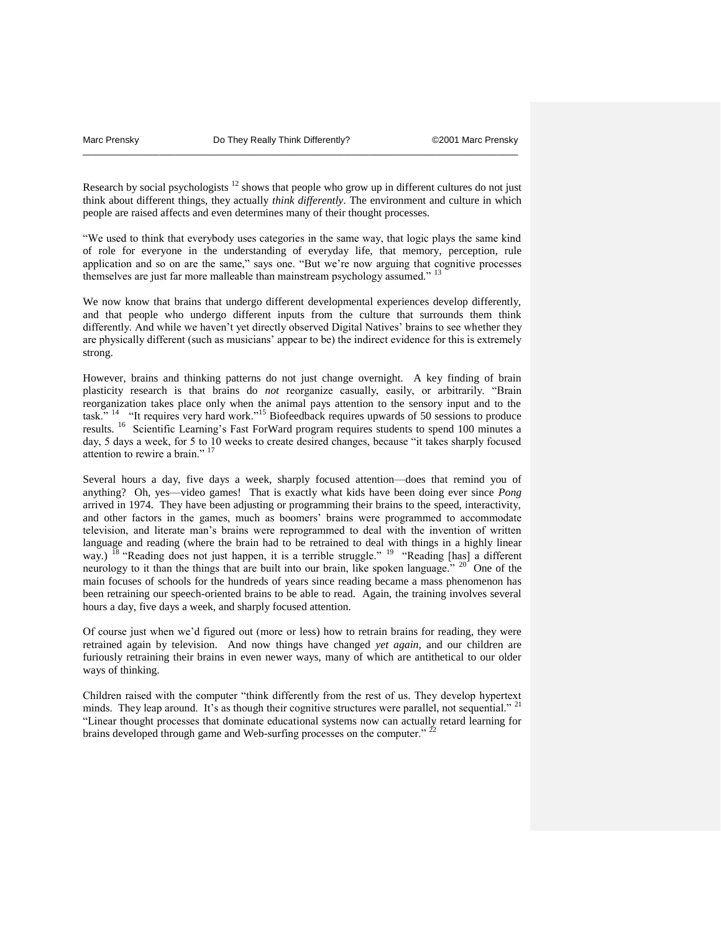Research by social psychologists <sup>12</sup> shows that people who grow up in different cultures do not just think about different things, they actually *think differently*. The environment and culture in which people are raised affects and even determines many of their thought processes.

\_\_\_\_\_\_\_\_\_\_\_\_\_\_\_\_\_\_\_\_\_\_\_\_\_\_\_\_\_\_\_\_\_\_\_\_\_\_\_\_\_\_\_\_\_\_\_\_\_\_\_\_\_\_\_\_\_\_\_\_\_\_\_\_\_\_\_\_\_\_\_\_\_\_\_\_\_\_\_\_\_\_\_\_\_

―We used to think that everybody uses categories in the same way, that logic plays the same kind of role for everyone in the understanding of everyday life, that memory, perception, rule application and so on are the same," says one. "But we're now arguing that cognitive processes themselves are just far more malleable than mainstream psychology assumed.<sup> $n_{13}$ </sup>

We now know that brains that undergo different developmental experiences develop differently, and that people who undergo different inputs from the culture that surrounds them think differently. And while we haven't yet directly observed Digital Natives' brains to see whether they are physically different (such as musicians' appear to be) the indirect evidence for this is extremely strong.

However, brains and thinking patterns do not just change overnight. A key finding of brain plasticity research is that brains do *not* reorganize casually, easily, or arbitrarily. "Brain reorganization takes place only when the animal pays attention to the sensory input and to the task."<sup>14</sup> "It requires very hard work."<sup>15</sup> Biofeedback requires upwards of 50 sessions to produce results. <sup>16</sup> Scientific Learning's Fast ForWard program requires students to spend 100 minutes a day, 5 days a week, for 5 to 10 weeks to create desired changes, because "it takes sharply focused attention to rewire a brain."<sup>17</sup>

Several hours a day, five days a week, sharply focused attention—does that remind you of anything? Oh, yes—video games! That is exactly what kids have been doing ever since *Pong* arrived in 1974. They have been adjusting or programming their brains to the speed, interactivity, and other factors in the games, much as boomers' brains were programmed to accommodate television, and literate man's brains were reprogrammed to deal with the invention of written language and reading (where the brain had to be retrained to deal with things in a highly linear way.) <sup>18</sup> "Reading does not just happen, it is a terrible struggle." <sup>19</sup> "Reading [has] a different neurology to it than the things that are built into our brain, like spoken language.<sup> $\frac{2}{3}$ </sup> One of the main focuses of schools for the hundreds of years since reading became a mass phenomenon has been retraining our speech-oriented brains to be able to read. Again, the training involves several hours a day, five days a week, and sharply focused attention.

Of course just when we'd figured out (more or less) how to retrain brains for reading, they were retrained again by television. And now things have changed *yet again*, and our children are furiously retraining their brains in even newer ways, many of which are antithetical to our older ways of thinking.

Children raised with the computer "think differently from the rest of us. They develop hypertext minds. They leap around. It's as though their cognitive structures were parallel, not sequential." <sup>21</sup> ―Linear thought processes that dominate educational systems now can actually retard learning for brains developed through game and Web-surfing processes on the computer."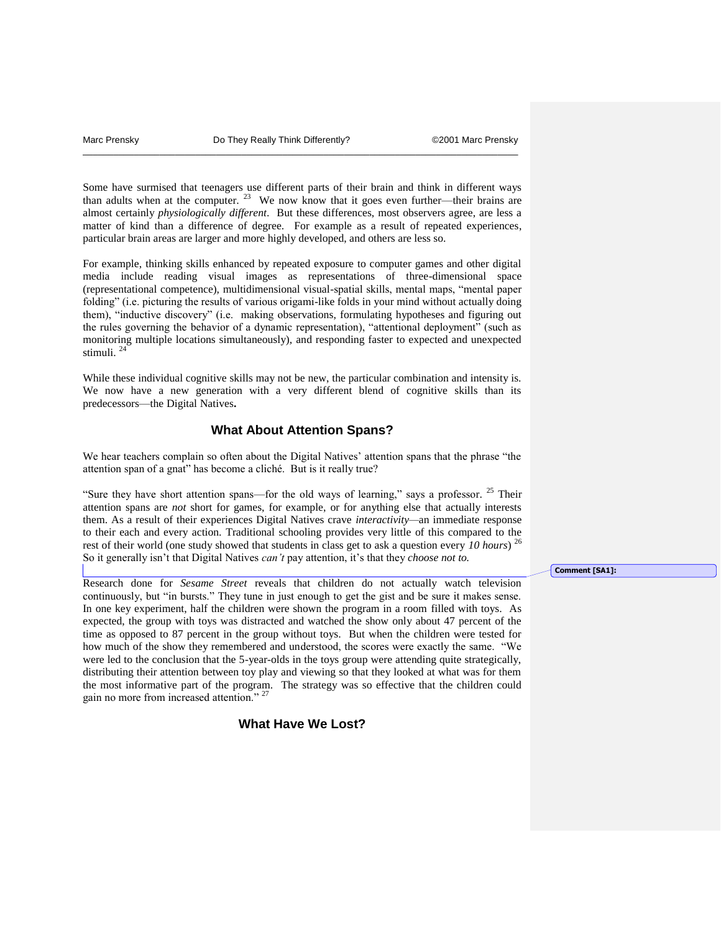Some have surmised that teenagers use different parts of their brain and think in different ways than adults when at the computer. <sup>23</sup> We now know that it goes even further—their brains are almost certainly *physiologically different*. But these differences, most observers agree, are less a matter of kind than a difference of degree. For example as a result of repeated experiences, particular brain areas are larger and more highly developed, and others are less so.

\_\_\_\_\_\_\_\_\_\_\_\_\_\_\_\_\_\_\_\_\_\_\_\_\_\_\_\_\_\_\_\_\_\_\_\_\_\_\_\_\_\_\_\_\_\_\_\_\_\_\_\_\_\_\_\_\_\_\_\_\_\_\_\_\_\_\_\_\_\_\_\_\_\_\_\_\_\_\_\_\_\_\_\_\_

For example, thinking skills enhanced by repeated exposure to computer games and other digital media include reading visual images as representations of three-dimensional space (representational competence), multidimensional visual-spatial skills, mental maps, "mental paper folding" (i.e. picturing the results of various origami-like folds in your mind without actually doing them), "inductive discovery" (i.e. making observations, formulating hypotheses and figuring out the rules governing the behavior of a dynamic representation), "attentional deployment" (such as monitoring multiple locations simultaneously), and responding faster to expected and unexpected stimuli.<sup>24</sup>

While these individual cognitive skills may not be new, the particular combination and intensity is. We now have a new generation with a very different blend of cognitive skills than its predecessors—the Digital Natives**.**

#### **What About Attention Spans?**

We hear teachers complain so often about the Digital Natives' attention spans that the phrase "the attention span of a gnat" has become a cliché. But is it really true?

"Sure they have short attention spans—for the old ways of learning," says a professor.  $25$  Their attention spans are *not* short for games, for example, or for anything else that actually interests them. As a result of their experiences Digital Natives crave *interactivity—*an immediate response to their each and every action. Traditional schooling provides very little of this compared to the rest of their world (one study showed that students in class get to ask a question every *10 hours*) <sup>26</sup> So it generally isn't that Digital Natives *can't* pay attention, it's that they *choose not to.*

Research done for *Sesame Street* reveals that children do not actually watch television continuously, but "in bursts." They tune in just enough to get the gist and be sure it makes sense. In one key experiment, half the children were shown the program in a room filled with toys. As expected, the group with toys was distracted and watched the show only about 47 percent of the time as opposed to 87 percent in the group without toys. But when the children were tested for how much of the show they remembered and understood, the scores were exactly the same. "We were led to the conclusion that the 5-year-olds in the toys group were attending quite strategically, distributing their attention between toy play and viewing so that they looked at what was for them the most informative part of the program. The strategy was so effective that the children could gain no more from increased attention."  $27$ 

**What Have We Lost?**

**Comment [SA1]:**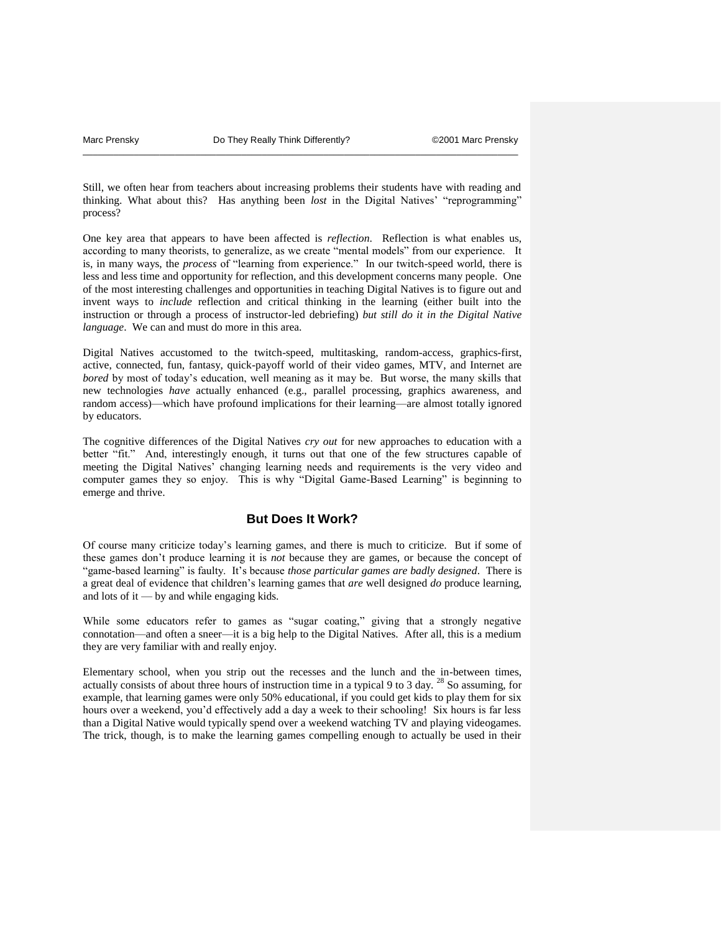Still, we often hear from teachers about increasing problems their students have with reading and thinking. What about this? Has anything been *lost* in the Digital Natives' "reprogramming" process?

\_\_\_\_\_\_\_\_\_\_\_\_\_\_\_\_\_\_\_\_\_\_\_\_\_\_\_\_\_\_\_\_\_\_\_\_\_\_\_\_\_\_\_\_\_\_\_\_\_\_\_\_\_\_\_\_\_\_\_\_\_\_\_\_\_\_\_\_\_\_\_\_\_\_\_\_\_\_\_\_\_\_\_\_\_

One key area that appears to have been affected is *reflection*. Reflection is what enables us, according to many theorists, to generalize, as we create "mental models" from our experience. It is, in many ways, the *process* of "learning from experience." In our twitch-speed world, there is less and less time and opportunity for reflection, and this development concerns many people. One of the most interesting challenges and opportunities in teaching Digital Natives is to figure out and invent ways to *include* reflection and critical thinking in the learning (either built into the instruction or through a process of instructor-led debriefing) *but still do it in the Digital Native language*. We can and must do more in this area.

Digital Natives accustomed to the twitch-speed, multitasking, random-access, graphics-first, active, connected, fun, fantasy, quick-payoff world of their video games, MTV, and Internet are *bored* by most of today's education, well meaning as it may be. But worse, the many skills that new technologies *have* actually enhanced (e.g., parallel processing, graphics awareness, and random access)—which have profound implications for their learning—are almost totally ignored by educators.

The cognitive differences of the Digital Natives *cry out* for new approaches to education with a better "fit." And, interestingly enough, it turns out that one of the few structures capable of meeting the Digital Natives' changing learning needs and requirements is the very video and computer games they so enjoy. This is why "Digital Game-Based Learning" is beginning to emerge and thrive.

## **But Does It Work?**

Of course many criticize today's learning games, and there is much to criticize. But if some of these games don't produce learning it is *not* because they are games, or because the concept of ―game-based learning‖ is faulty. It's because *those particular games are badly designed*. There is a great deal of evidence that children's learning games that *are* well designed *do* produce learning, and lots of it — by and while engaging kids.

While some educators refer to games as "sugar coating," giving that a strongly negative connotation—and often a sneer—it is a big help to the Digital Natives. After all, this is a medium they are very familiar with and really enjoy.

Elementary school, when you strip out the recesses and the lunch and the in-between times, actually consists of about three hours of instruction time in a typical 9 to 3 day. <sup>28</sup> So assuming, for example, that learning games were only 50% educational, if you could get kids to play them for six hours over a weekend, you'd effectively add a day a week to their schooling! Six hours is far less than a Digital Native would typically spend over a weekend watching TV and playing videogames. The trick, though, is to make the learning games compelling enough to actually be used in their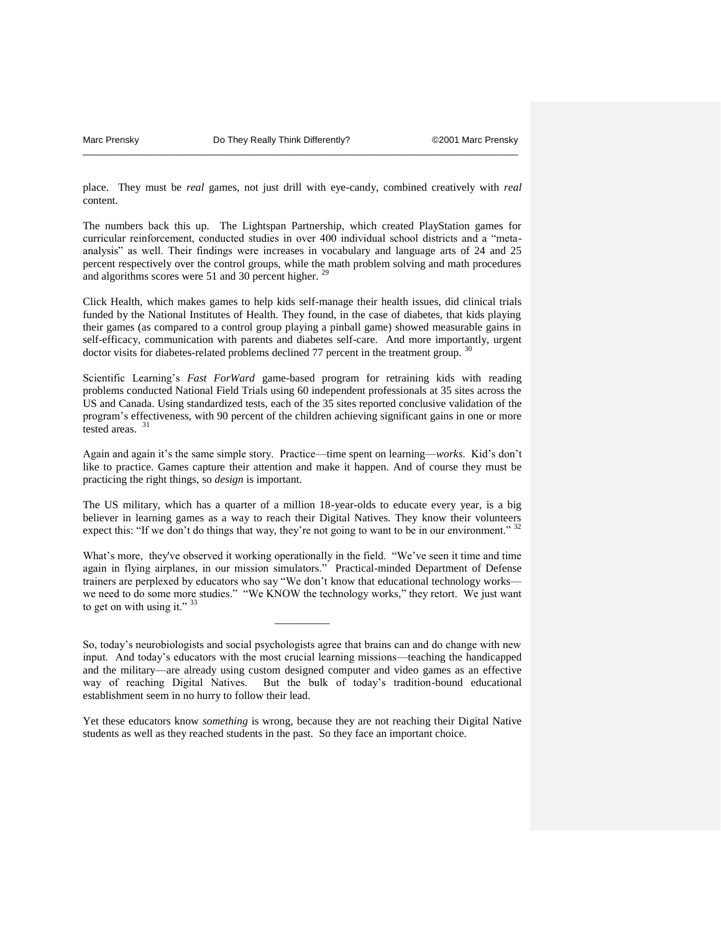place. They must be *real* games, not just drill with eye-candy, combined creatively with *real* content.

\_\_\_\_\_\_\_\_\_\_\_\_\_\_\_\_\_\_\_\_\_\_\_\_\_\_\_\_\_\_\_\_\_\_\_\_\_\_\_\_\_\_\_\_\_\_\_\_\_\_\_\_\_\_\_\_\_\_\_\_\_\_\_\_\_\_\_\_\_\_\_\_\_\_\_\_\_\_\_\_\_\_\_\_\_

The numbers back this up. The Lightspan Partnership, which created PlayStation games for curricular reinforcement, conducted studies in over 400 individual school districts and a "metaanalysis" as well. Their findings were increases in vocabulary and language arts of 24 and 25 percent respectively over the control groups, while the math problem solving and math procedures and algorithms scores were 51 and 30 percent higher. <sup>29</sup>

Click Health, which makes games to help kids self-manage their health issues, did clinical trials funded by the National Institutes of Health. They found, in the case of diabetes, that kids playing their games (as compared to a control group playing a pinball game) showed measurable gains in self-efficacy, communication with parents and diabetes self-care. And more importantly, urgent doctor visits for diabetes-related problems declined 77 percent in the treatment group. <sup>30</sup>

Scientific Learning's *Fast ForWard* game-based program for retraining kids with reading problems conducted National Field Trials using 60 independent professionals at 35 sites across the US and Canada. Using standardized tests, each of the 35 sites reported conclusive validation of the program's effectiveness, with 90 percent of the children achieving significant gains in one or more tested areas. <sup>31</sup>

Again and again it's the same simple story. Practice—time spent on learning—*works*. Kid's don't like to practice. Games capture their attention and make it happen. And of course they must be practicing the right things, so *design* is important.

The US military, which has a quarter of a million 18-year-olds to educate every year, is a big believer in learning games as a way to reach their Digital Natives. They know their volunteers expect this: "If we don't do things that way, they're not going to want to be in our environment." <sup>32</sup>

What's more, they've observed it working operationally in the field. "We've seen it time and time again in flying airplanes, in our mission simulators." Practical-minded Department of Defense trainers are perplexed by educators who say "We don't know that educational technology works we need to do some more studies." "We KNOW the technology works," they retort. We just want to get on with using it."  $33$ 

\_\_\_\_\_\_\_\_\_\_

So, today's neurobiologists and social psychologists agree that brains can and do change with new input. And today's educators with the most crucial learning missions—teaching the handicapped and the military—are already using custom designed computer and video games as an effective way of reaching Digital Natives. But the bulk of today's tradition-bound educational establishment seem in no hurry to follow their lead.

Yet these educators know *something* is wrong, because they are not reaching their Digital Native students as well as they reached students in the past. So they face an important choice.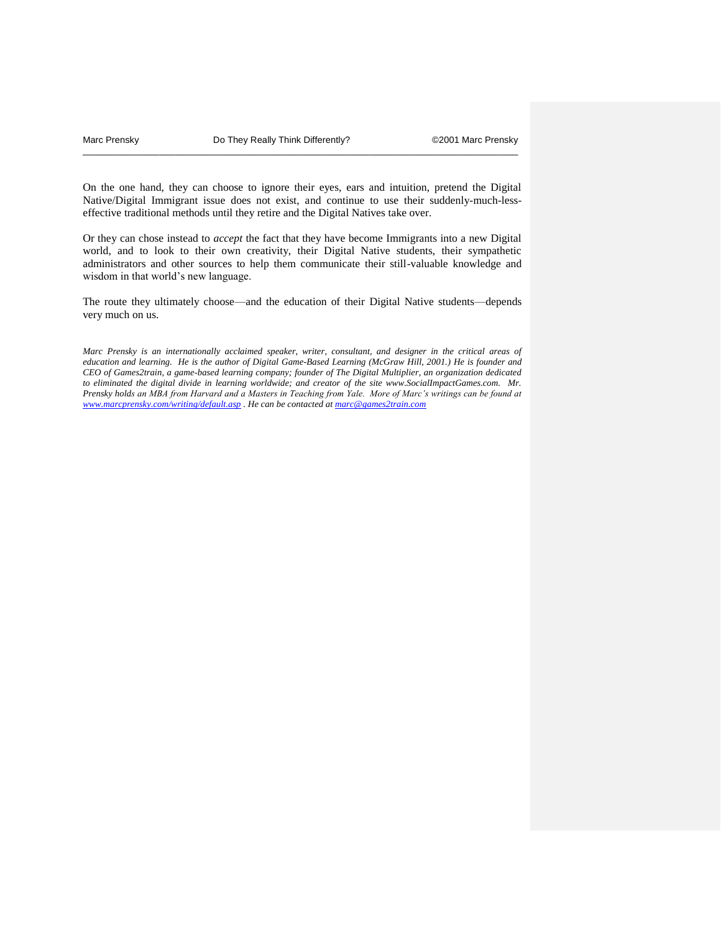On the one hand, they can choose to ignore their eyes, ears and intuition, pretend the Digital Native/Digital Immigrant issue does not exist, and continue to use their suddenly-much-lesseffective traditional methods until they retire and the Digital Natives take over.

\_\_\_\_\_\_\_\_\_\_\_\_\_\_\_\_\_\_\_\_\_\_\_\_\_\_\_\_\_\_\_\_\_\_\_\_\_\_\_\_\_\_\_\_\_\_\_\_\_\_\_\_\_\_\_\_\_\_\_\_\_\_\_\_\_\_\_\_\_\_\_\_\_\_\_\_\_\_\_\_\_\_\_\_\_

Or they can chose instead to *accept* the fact that they have become Immigrants into a new Digital world, and to look to their own creativity, their Digital Native students, their sympathetic administrators and other sources to help them communicate their still-valuable knowledge and wisdom in that world's new language.

The route they ultimately choose—and the education of their Digital Native students—depends very much on us.

*Marc Prensky is an internationally acclaimed speaker, writer, consultant, and designer in the critical areas of education and learning. He is the author of Digital Game-Based Learning (McGraw Hill, 2001.) He is founder and CEO of Games2train, a game-based learning company; founder of The Digital Multiplier, an organization dedicated to eliminated the digital divide in learning worldwide; and creator of the site www.SocialImpactGames.com. Mr. Prensky holds an MBA from Harvard and a Masters in Teaching from Yale. More of Marc's writings can be found at [www.marcprensky.com/writing/default.asp](http://www.marcprensky.com/writing/default.asp) . He can be contacted at [marc@games2train.com](mailto:marc@games2train.com)*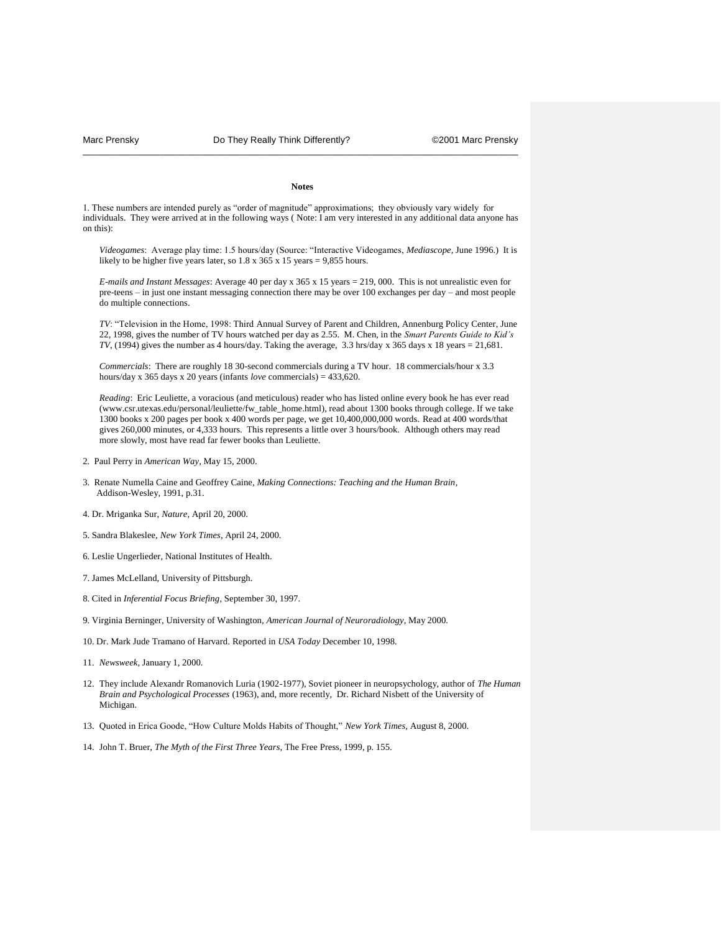#### **Notes**

\_\_\_\_\_\_\_\_\_\_\_\_\_\_\_\_\_\_\_\_\_\_\_\_\_\_\_\_\_\_\_\_\_\_\_\_\_\_\_\_\_\_\_\_\_\_\_\_\_\_\_\_\_\_\_\_\_\_\_\_\_\_\_\_\_\_\_\_\_\_\_\_\_\_\_\_\_\_\_\_\_\_\_\_\_

1. These numbers are intended purely as "order of magnitude" approximations; they obviously vary widely for individuals. They were arrived at in the following ways ( Note: I am very interested in any additional data anyone has on this):

*Videogames*: Average play time: 1.5 hours/day (Source: "Interactive Videogames, *Mediascope*, June 1996.) It is likely to be higher five years later, so  $1.8 \times 365 \times 15$  years = 9,855 hours.

*E-mails and Instant Messages*: Average 40 per day x 365 x 15 years = 219, 000. This is not unrealistic even for pre-teens – in just one instant messaging connection there may be over 100 exchanges per day – and most people do multiple connections.

*TV*: "Television in the Home, 1998: Third Annual Survey of Parent and Children, Annenburg Policy Center, June 22, 1998, gives the number of TV hours watched per day as 2.55. M. Chen, in the *Smart Parents Guide to Kid's TV*, (1994) gives the number as 4 hours/day. Taking the average, 3.3 hrs/day x 365 days x 18 years = 21,681.

*Commercials*: There are roughly 18 30-second commercials during a TV hour. 18 commercials/hour x 3.3 hours/day x 365 days x 20 years (infants *love* commercials) = 433,620.

*Reading*: Eric Leuliette, a voracious (and meticulous) reader who has listed online every book he has ever read (www.csr.utexas.edu/personal/leuliette/fw\_table\_home.html), read about 1300 books through college. If we take 1300 books x 200 pages per book x 400 words per page, we get 10,400,000,000 words. Read at 400 words/that gives 260,000 minutes, or 4,333 hours. This represents a little over 3 hours/book. Although others may read more slowly, most have read far fewer books than Leuliette.

- 2. Paul Perry in *American Way*, May 15, 2000.
- 3. Renate Numella Caine and Geoffrey Caine, *Making Connections: Teaching and the Human Brain*, Addison-Wesley, 1991, p.31.
- 4. Dr. Mriganka Sur, *Nature*, April 20, 2000.
- 5. Sandra Blakeslee, *New York Times*, April 24, 2000.
- 6. Leslie Ungerlieder, National Institutes of Health.
- 7. James McLelland, University of Pittsburgh.
- 8. Cited in *Inferential Focus Briefing*, September 30, 1997.
- 9. Virginia Berninger, University of Washington, *American Journal of Neuroradiology*, May 2000.
- 10. Dr. Mark Jude Tramano of Harvard. Reported in *USA Today* December 10, 1998.
- 11. *Newsweek*, January 1, 2000.
- 12. They include Alexandr Romanovich Luria (1902-1977), Soviet pioneer in neuropsychology, author of *The Human Brain and Psychological Processes* (1963), and, more recently, Dr. Richard Nisbett of the University of Michigan.
- 13. Quoted in Erica Goode, "How Culture Molds Habits of Thought," New York Times, August 8, 2000.
- 14. John T. Bruer, *The Myth of the First Three Years,* The Free Press, 1999, p. 155.